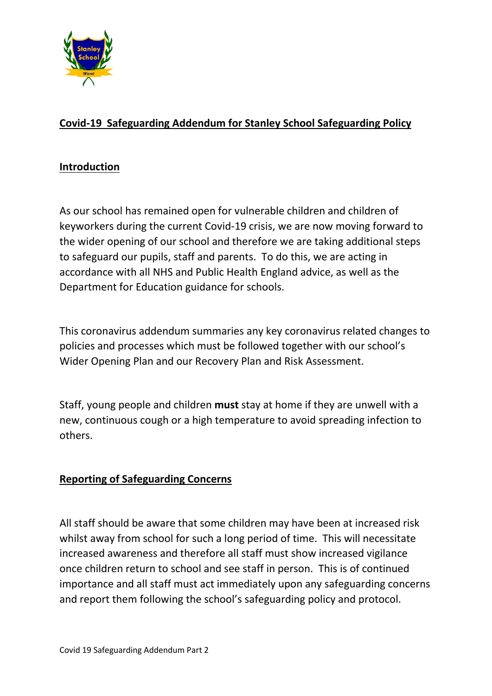

## **Covid-19 Safeguarding Addendum for Stanley School Safeguarding Policy**

#### **Introduction**

As our school has remained open for vulnerable children and children of keyworkers during the current Covid-19 crisis, we are now moving forward to the wider opening of our school and therefore we are taking additional steps to safeguard our pupils, staff and parents. To do this, we are acting in accordance with all NHS and Public Health England advice, as well as the Department for Education guidance for schools.

This coronavirus addendum summaries any key coronavirus related changes to policies and processes which must be followed together with our school's Wider Opening Plan and our Recovery Plan and Risk Assessment.

Staff, young people and children **must** stay at home if they are unwell with a new, continuous cough or a high temperature to avoid spreading infection to others.

## **Reporting of Safeguarding Concerns**

All staff should be aware that some children may have been at increased risk whilst away from school for such a long period of time. This will necessitate increased awareness and therefore all staff must show increased vigilance once children return to school and see staff in person. This is of continued importance and all staff must act immediately upon any safeguarding concerns and report them following the school's safeguarding policy and protocol.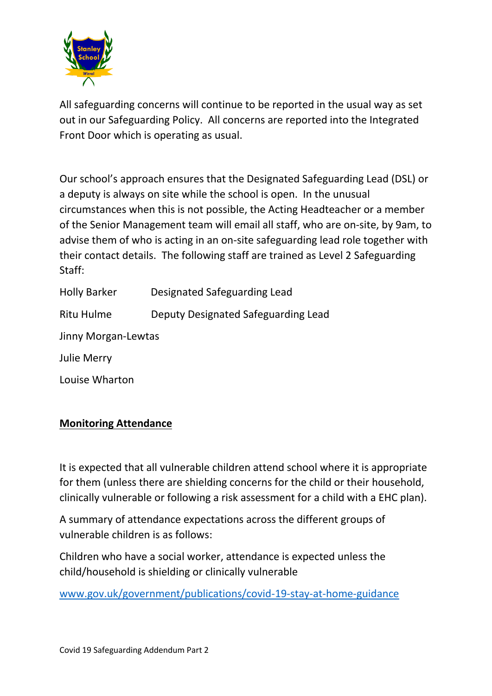

All safeguarding concerns will continue to be reported in the usual way as set out in our Safeguarding Policy. All concerns are reported into the Integrated Front Door which is operating as usual.

Our school's approach ensures that the Designated Safeguarding Lead (DSL) or a deputy is always on site while the school is open. In the unusual circumstances when this is not possible, the Acting Headteacher or a member of the Senior Management team will email all staff, who are on-site, by 9am, to advise them of who is acting in an on-site safeguarding lead role together with their contact details. The following staff are trained as Level 2 Safeguarding Staff:

| <b>Holly Barker</b> | Designated Safeguarding Lead        |
|---------------------|-------------------------------------|
| Ritu Hulme          | Deputy Designated Safeguarding Lead |
| Jinny Morgan-Lewtas |                                     |
| <b>Julie Merry</b>  |                                     |
| Louise Wharton      |                                     |

## **Monitoring Attendance**

It is expected that all vulnerable children attend school where it is appropriate for them (unless there are shielding concerns for the child or their household, clinically vulnerable or following a risk assessment for a child with a EHC plan).

A summary of attendance expectations across the different groups of vulnerable children is as follows:

Children who have a social worker, attendance is expected unless the child/household is shielding or clinically vulnerable

[www.gov.uk/government/publications/covid-19-stay-at-home-guidance](http://www.gov.uk/government/publications/covid-19-stay-at-home-guidance)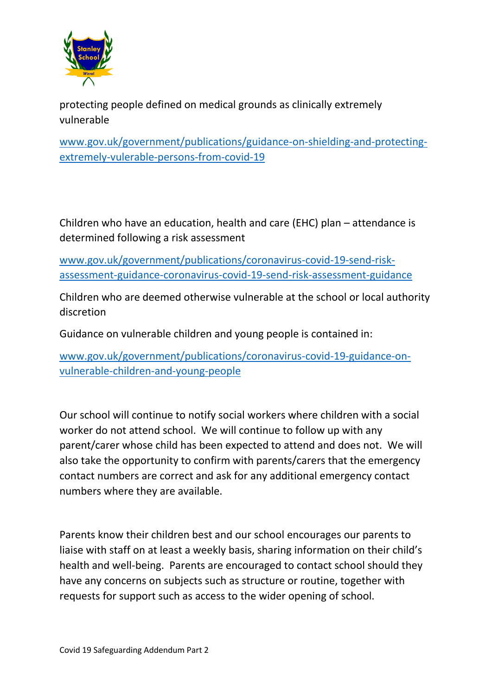

protecting people defined on medical grounds as clinically extremely vulnerable

[www.gov.uk/government/publications/guidance-on-shielding-and-protecting](http://www.gov.uk/government/publications/guidance-on-shielding-and-protecting-extremely-vulerable-persons-from-covid-19)[extremely-vulerable-persons-from-covid-19](http://www.gov.uk/government/publications/guidance-on-shielding-and-protecting-extremely-vulerable-persons-from-covid-19)

Children who have an education, health and care (EHC) plan – attendance is determined following a risk assessment

[www.gov.uk/government/publications/coronavirus-covid-19-send-risk](http://www.gov.uk/government/publications/coronavirus-covid-19-send-risk-assessment-guidance-coronavirus-covid-19-send-risk-assessment-guidance)[assessment-guidance-coronavirus-covid-19-send-risk-assessment-guidance](http://www.gov.uk/government/publications/coronavirus-covid-19-send-risk-assessment-guidance-coronavirus-covid-19-send-risk-assessment-guidance)

Children who are deemed otherwise vulnerable at the school or local authority discretion

Guidance on vulnerable children and young people is contained in:

[www.gov.uk/government/publications/coronavirus-covid-19-guidance-on](http://www.gov.uk/government/publications/coronavirus-covid-19-guidance-on-vulnerable-children-and-young-people)[vulnerable-children-and-young-people](http://www.gov.uk/government/publications/coronavirus-covid-19-guidance-on-vulnerable-children-and-young-people)

Our school will continue to notify social workers where children with a social worker do not attend school. We will continue to follow up with any parent/carer whose child has been expected to attend and does not. We will also take the opportunity to confirm with parents/carers that the emergency contact numbers are correct and ask for any additional emergency contact numbers where they are available.

Parents know their children best and our school encourages our parents to liaise with staff on at least a weekly basis, sharing information on their child's health and well-being. Parents are encouraged to contact school should they have any concerns on subjects such as structure or routine, together with requests for support such as access to the wider opening of school.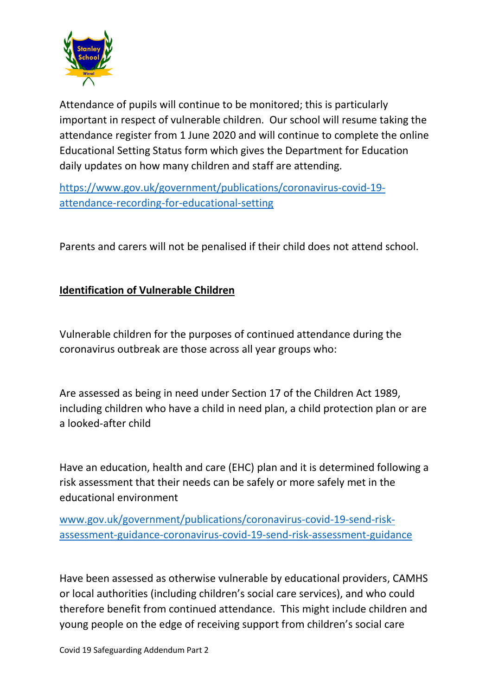

Attendance of pupils will continue to be monitored; this is particularly important in respect of vulnerable children. Our school will resume taking the attendance register from 1 June 2020 and will continue to complete the online Educational Setting Status form which gives the Department for Education daily updates on how many children and staff are attending.

[https://www.gov.uk/government/publications/coronavirus-covid-19](https://www.gov.uk/government/publications/coronavirus-covid-19-attendance-recording-for-educational-setting) [attendance-recording-for-educational-setting](https://www.gov.uk/government/publications/coronavirus-covid-19-attendance-recording-for-educational-setting)

Parents and carers will not be penalised if their child does not attend school.

## **Identification of Vulnerable Children**

Vulnerable children for the purposes of continued attendance during the coronavirus outbreak are those across all year groups who:

Are assessed as being in need under Section 17 of the Children Act 1989, including children who have a child in need plan, a child protection plan or are a looked-after child

Have an education, health and care (EHC) plan and it is determined following a risk assessment that their needs can be safely or more safely met in the educational environment

[www.gov.uk/government/publications/coronavirus-covid-19-send-risk](http://www.gov.uk/government/publications/coronavirus-covid-19-send-risk-assessment-guidance-coronavirus-covid-19-send-risk-assessment-guidance)[assessment-guidance-coronavirus-covid-19-send-risk-assessment-guidance](http://www.gov.uk/government/publications/coronavirus-covid-19-send-risk-assessment-guidance-coronavirus-covid-19-send-risk-assessment-guidance)

Have been assessed as otherwise vulnerable by educational providers, CAMHS or local authorities (including children's social care services), and who could therefore benefit from continued attendance. This might include children and young people on the edge of receiving support from children's social care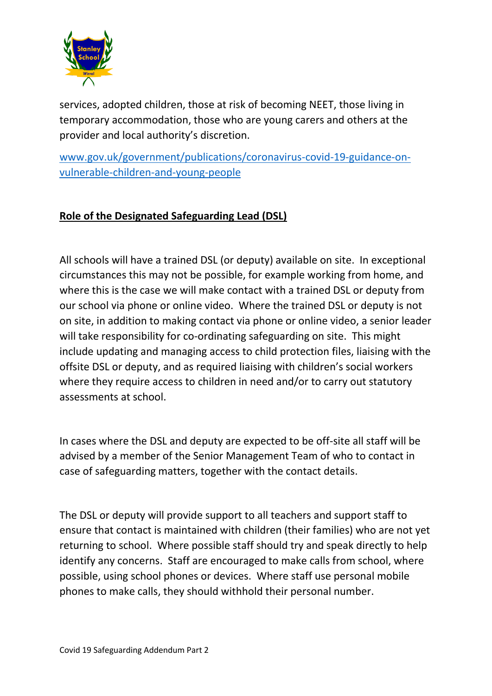

services, adopted children, those at risk of becoming NEET, those living in temporary accommodation, those who are young carers and others at the provider and local authority's discretion.

[www.gov.uk/government/publications/coronavirus-covid-19-guidance-on](http://www.gov.uk/government/publications/coronavirus-covid-19-guidance-on-vulnerable-children-and-young-people)[vulnerable-children-and-young-people](http://www.gov.uk/government/publications/coronavirus-covid-19-guidance-on-vulnerable-children-and-young-people)

## **Role of the Designated Safeguarding Lead (DSL)**

All schools will have a trained DSL (or deputy) available on site. In exceptional circumstances this may not be possible, for example working from home, and where this is the case we will make contact with a trained DSL or deputy from our school via phone or online video. Where the trained DSL or deputy is not on site, in addition to making contact via phone or online video, a senior leader will take responsibility for co-ordinating safeguarding on site. This might include updating and managing access to child protection files, liaising with the offsite DSL or deputy, and as required liaising with children's social workers where they require access to children in need and/or to carry out statutory assessments at school.

In cases where the DSL and deputy are expected to be off-site all staff will be advised by a member of the Senior Management Team of who to contact in case of safeguarding matters, together with the contact details.

The DSL or deputy will provide support to all teachers and support staff to ensure that contact is maintained with children (their families) who are not yet returning to school. Where possible staff should try and speak directly to help identify any concerns. Staff are encouraged to make calls from school, where possible, using school phones or devices. Where staff use personal mobile phones to make calls, they should withhold their personal number.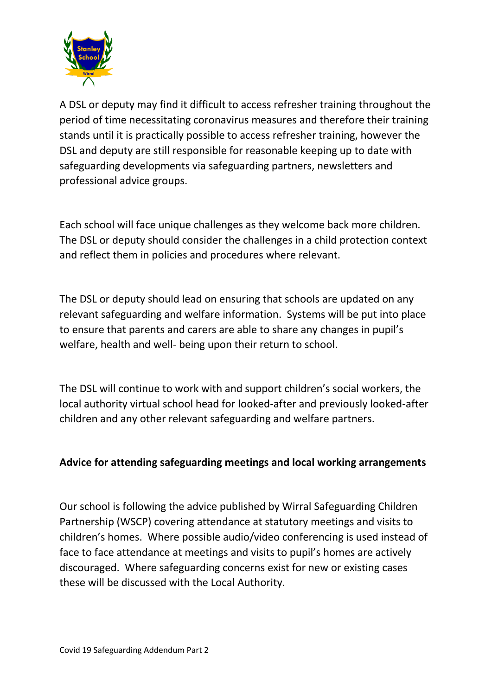

A DSL or deputy may find it difficult to access refresher training throughout the period of time necessitating coronavirus measures and therefore their training stands until it is practically possible to access refresher training, however the DSL and deputy are still responsible for reasonable keeping up to date with safeguarding developments via safeguarding partners, newsletters and professional advice groups.

Each school will face unique challenges as they welcome back more children. The DSL or deputy should consider the challenges in a child protection context and reflect them in policies and procedures where relevant.

The DSL or deputy should lead on ensuring that schools are updated on any relevant safeguarding and welfare information. Systems will be put into place to ensure that parents and carers are able to share any changes in pupil's welfare, health and well- being upon their return to school.

The DSL will continue to work with and support children's social workers, the local authority virtual school head for looked-after and previously looked-after children and any other relevant safeguarding and welfare partners.

## **Advice for attending safeguarding meetings and local working arrangements**

Our school is following the advice published by Wirral Safeguarding Children Partnership (WSCP) covering attendance at statutory meetings and visits to children's homes. Where possible audio/video conferencing is used instead of face to face attendance at meetings and visits to pupil's homes are actively discouraged. Where safeguarding concerns exist for new or existing cases these will be discussed with the Local Authority.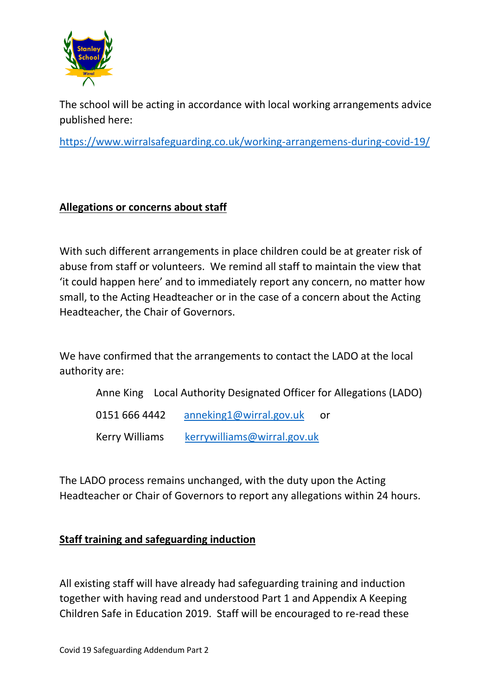

The school will be acting in accordance with local working arrangements advice published here:

<https://www.wirralsafeguarding.co.uk/working-arrangemens-during-covid-19/>

#### **Allegations or concerns about staff**

With such different arrangements in place children could be at greater risk of abuse from staff or volunteers. We remind all staff to maintain the view that 'it could happen here' and to immediately report any concern, no matter how small, to the Acting Headteacher or in the case of a concern about the Acting Headteacher, the Chair of Governors.

We have confirmed that the arrangements to contact the LADO at the local authority are:

Anne King Local Authority Designated Officer for Allegations (LADO)

0151 666 4442 [anneking1@wirral.gov.uk](mailto:anneking1@wirral.gov.uk) or

Kerry Williams [kerrywilliams@wirral.gov.uk](mailto:kerrywilliams@wirral.gov.uk)

The LADO process remains unchanged, with the duty upon the Acting Headteacher or Chair of Governors to report any allegations within 24 hours.

## **Staff training and safeguarding induction**

All existing staff will have already had safeguarding training and induction together with having read and understood Part 1 and Appendix A Keeping Children Safe in Education 2019. Staff will be encouraged to re-read these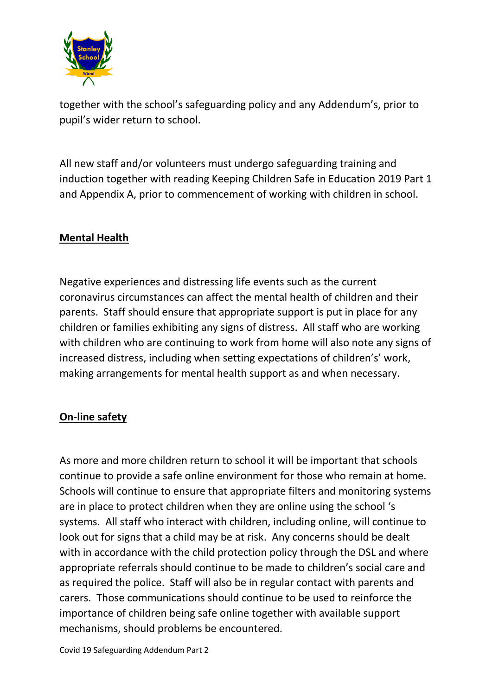

together with the school's safeguarding policy and any Addendum's, prior to pupil's wider return to school.

All new staff and/or volunteers must undergo safeguarding training and induction together with reading Keeping Children Safe in Education 2019 Part 1 and Appendix A, prior to commencement of working with children in school.

## **Mental Health**

Negative experiences and distressing life events such as the current coronavirus circumstances can affect the mental health of children and their parents. Staff should ensure that appropriate support is put in place for any children or families exhibiting any signs of distress. All staff who are working with children who are continuing to work from home will also note any signs of increased distress, including when setting expectations of children's' work, making arrangements for mental health support as and when necessary.

## **On-line safety**

As more and more children return to school it will be important that schools continue to provide a safe online environment for those who remain at home. Schools will continue to ensure that appropriate filters and monitoring systems are in place to protect children when they are online using the school 's systems. All staff who interact with children, including online, will continue to look out for signs that a child may be at risk. Any concerns should be dealt with in accordance with the child protection policy through the DSL and where appropriate referrals should continue to be made to children's social care and as required the police. Staff will also be in regular contact with parents and carers. Those communications should continue to be used to reinforce the importance of children being safe online together with available support mechanisms, should problems be encountered.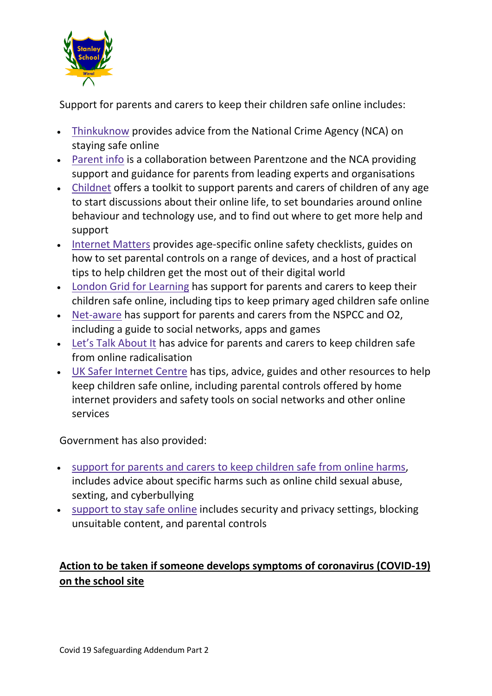

Support for parents and carers to keep their children safe online includes:

- [Thinkuknow](http://www.thinkuknow.co.uk/) provides advice from the National Crime Agency (NCA) on staying safe online
- [Parent](https://parentinfo.org/) info is a collaboration between Parentzone and the NCA providing support and guidance for parents from leading experts and organisations
- [Childnet](https://www.childnet.com/parents-and-carers/parent-and-carer-toolkit) offers a toolkit to support parents and carers of children of any age to start discussions about their online life, to set boundaries around online behaviour and technology use, and to find out where to get more help and support
- [Internet](https://www.internetmatters.org/?gclid=EAIaIQobChMIktuA5LWK2wIVRYXVCh2afg2aEAAYASAAEgIJ5vD_BwE) Matters provides age-specific online safety checklists, guides on how to set parental controls on a range of devices, and a host of practical tips to help children get the most out of their digital world
- London Grid for [Learning](http://www.lgfl.net/online-safety/) has support for parents and carers to keep their children safe online, including tips to keep primary aged children safe online
- [Net-aware](https://www.net-aware.org.uk/) has support for parents and carers from the NSPCC and O2, including a guide to social networks, apps and games
- Let's Talk [About](https://www.ltai.info/staying-safe-online/) It has advice for parents and carers to keep children safe from online radicalisation
- UK Safer [Internet](https://www.saferinternet.org.uk/advice-centre/parents-and-carers) Centre has tips, advice, guides and other resources to help keep children safe online, including parental controls offered by home internet providers and safety tools on social networks and other online services

Government has also provided:

- support for parents and carers to keep [children](https://www.gov.uk/government/publications/coronavirus-covid-19-keeping-children-safe-online/coronavirus-covid-19-support-for-parents-and-carers-to-keep-children-safe-online) safe from online harms, includes advice about specific harms such as online child sexual abuse, sexting, and cyberbullying
- [support](https://www.gov.uk/guidance/covid-19-staying-safe-online) to stay safe online includes security and privacy settings, blocking unsuitable content, and parental controls

# **Action to be taken if someone develops symptoms of coronavirus (COVID-19) on the school site**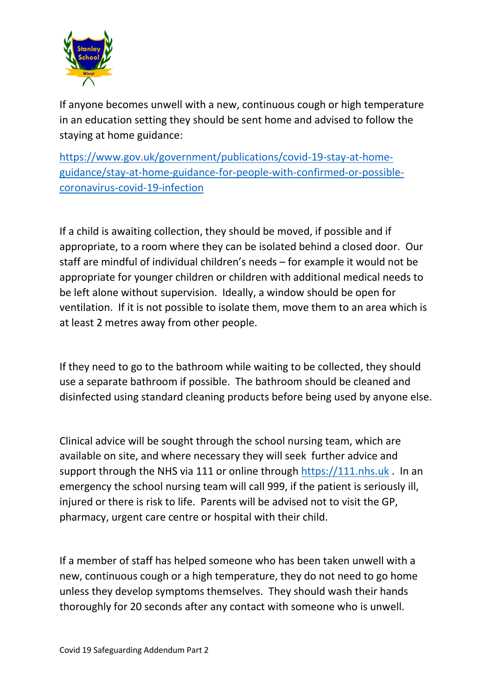

If anyone becomes unwell with a new, continuous cough or high temperature in an education setting they should be sent home and advised to follow the staying at home guidance:

[https://www.gov.uk/government/publications/covid-19-stay-at-home](https://www.gov.uk/government/publications/covid-19-stay-at-home-guidance/stay-at-home-guidance-for-people-with-confirmed-or-possible-coronavirus-covid-19-infection)[guidance/stay-at-home-guidance-for-people-with-confirmed-or-possible](https://www.gov.uk/government/publications/covid-19-stay-at-home-guidance/stay-at-home-guidance-for-people-with-confirmed-or-possible-coronavirus-covid-19-infection)[coronavirus-covid-19-infection](https://www.gov.uk/government/publications/covid-19-stay-at-home-guidance/stay-at-home-guidance-for-people-with-confirmed-or-possible-coronavirus-covid-19-infection)

If a child is awaiting collection, they should be moved, if possible and if appropriate, to a room where they can be isolated behind a closed door. Our staff are mindful of individual children's needs – for example it would not be appropriate for younger children or children with additional medical needs to be left alone without supervision. Ideally, a window should be open for ventilation. If it is not possible to isolate them, move them to an area which is at least 2 metres away from other people.

If they need to go to the bathroom while waiting to be collected, they should use a separate bathroom if possible. The bathroom should be cleaned and disinfected using standard cleaning products before being used by anyone else.

Clinical advice will be sought through the school nursing team, which are available on site, and where necessary they will seek further advice and support through the NHS via 111 or online through [https://111.nhs.uk](https://111.nhs.uk/) . In an emergency the school nursing team will call 999, if the patient is seriously ill, injured or there is risk to life. Parents will be advised not to visit the GP, pharmacy, urgent care centre or hospital with their child.

If a member of staff has helped someone who has been taken unwell with a new, continuous cough or a high temperature, they do not need to go home unless they develop symptoms themselves. They should wash their hands thoroughly for 20 seconds after any contact with someone who is unwell.